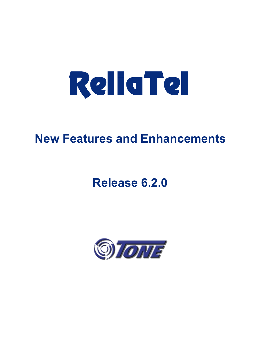

# **New Features and Enhancements**

# **Release 6.2.0**

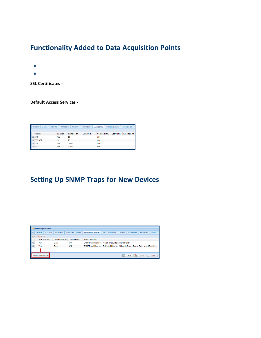## **Functionality Added to Data Acquisition Points**

Functionality added to Data Acquisition Points (DAPs) indudes:

- Systematically checking and alarming on SSL certificate expiration dates
- Adding default access services (SSH, RDP, Telnet, VNC) to auto-created DAP entities

**SSL Certificates -** Expiration dates will be monitored daily. As the expiration date approaches ReliaTel will generate a status alarm: 90 days = FYI; 60 days = MIN; 30 days = MAJ; 15 days = CRI. Self-signed certificates are not induded in this feature.

**Default Access Services -** ReliaTel automatically creates a DAP entity when a remote DAP is added to a network. This feature also adds the following access services automatically - SSH, RDP, Telnet, and VNC - for use with AccessPlus, to the entity. Other services can be added; default services are editable.

| <b>Attributes</b><br><b>Dashboard Alarms</b><br><b>Scan Patterns</b><br><b>Monitors</b><br><b>AccessPlus</b><br><b>DAP Services</b><br><b>MA Patterns</b><br>Logging<br><b>General</b> |               |         |                    |                   |              |                  |                     |  |  |  |
|----------------------------------------------------------------------------------------------------------------------------------------------------------------------------------------|---------------|---------|--------------------|-------------------|--------------|------------------|---------------------|--|--|--|
|                                                                                                                                                                                        | Service       | Enabled | <b>Remote Port</b> | <b>Local Port</b> | Session Time | <b>User Name</b> | <b>Execute Path</b> |  |  |  |
| $\blacksquare$                                                                                                                                                                         | <b>SSH</b>    | Yes     | 22                 |                   | 600          |                  |                     |  |  |  |
| $\blacksquare$                                                                                                                                                                         | <b>TELNET</b> | Yes     | 23                 |                   | 600          |                  |                     |  |  |  |
| $\blacksquare$                                                                                                                                                                         | <b>VNC</b>    | Yes     | 5900               |                   | 600          |                  |                     |  |  |  |
| $\blacksquare$                                                                                                                                                                         | <b>RDP</b>    | Yes     | 3389               |                   | 600          |                  |                     |  |  |  |

### **Setting Up SNMP Traps for New Devices**

Between product releases your organization may add a new device to your network: a device that ReliaTel doesn't yet monitor. If the new device supports SNMP this feature will enable you to monitor the device for SNMP traps until Tone Technical Support creates a supporting foundation kit.

This feature will give you the tools and processes to set up SNMP trap monitoring on your own. Using ReliaTel you'll be able to upload vendor SMI files to the database, extract SNMP traps from the MIB files, convert OIDs to readable text, set parameters for alarming, and assign alarm severities.

|    | SnmptrapCollector            |                   |                           |                                                                                   |                          |                |                    |                     |                 |  |  |  |
|----|------------------------------|-------------------|---------------------------|-----------------------------------------------------------------------------------|--------------------------|----------------|--------------------|---------------------|-----------------|--|--|--|
|    | <b>Attributes</b><br>General | <b>AccessPlus</b> | <b>Dashboard Tonelets</b> | <b>Dashboard Alarms</b>                                                           | <b>Alarm Suppression</b> | <b>Actions</b> | <b>MA Patterns</b> | <b>MA Tables</b>    | <b>Monitors</b> |  |  |  |
|    | ×<br>Add<br><b>Delete</b>    |                   |                           |                                                                                   |                          |                |                    |                     |                 |  |  |  |
|    | <b>Rule Enabled</b>          | Defined Where?    | <b>Time Window</b>        | <b>Alarm Definition</b>                                                           |                          |                |                    |                     |                 |  |  |  |
| Ι⊞ | <b>Yes</b>                   | <b>Class</b>      | N/A                       | SNMPTrap Presence: Major, TrapDefs: (warmStart)                                   |                          |                |                    |                     |                 |  |  |  |
| ∥⊞ | <b>Yes</b>                   | Class             | N/A                       | SNMPTrap Filter (0): Critical, Filter(s): (ifAdminStatus Equal To 0, and ifOperSt |                          |                |                    |                     |                 |  |  |  |
|    |                              |                   |                           |                                                                                   |                          |                |                    |                     |                 |  |  |  |
|    | Upload SMI Zip File          |                   |                           |                                                                                   |                          | ø              | 旧<br>Edit          | <b>TR</b><br>Cancel | Apply           |  |  |  |

You can also use this feature to monitor old, outdated devices that support SNMP for which ReliaTel doesn't have a foundation kit. Tone Technical Support can be contacted at (714) 991-9460 +1 if you need assistance.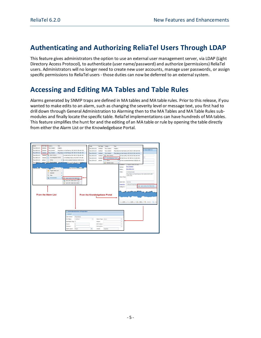### **Authenticating and Authorizing ReliaTel Users Through LDAP**

This feature gives administrators the option to use an external user management server, via LDAP (Light Directory Access Protocol), to authenticate (user name/password) and authorize (permissions) ReliaTel users. Administrators will no longer need to create new user accounts, manage user passwords, or assign specific permissions to ReliaTel users - those duties can now be deferred to an external system.

### **Accessing and Editing MA Tables and Table Rules**

Alarms generated by SNMP traps are defined in MA tables and MA table rules. Prior to this release, if you wanted to make edits to an alarm, such as changing the severity level or message text, you first had to drill down through General Administration to Alarming then to the MA Tables and MA Table Rules submodules and finally locate the specific table. ReliaTel implementations can have hundreds of MA tables. This feature simplifies the hunt for and the editing of an MA table or rule by opening the table directly from either the Alarm List or the Knowledgebase Portal.

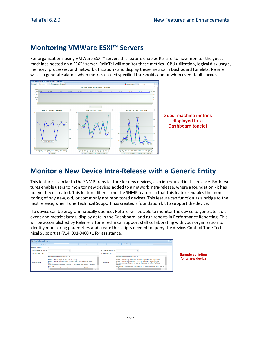### **Monitoring VMWare ESXi™ Servers**

For organizations using VMWare ESXi™ servers this feature enables ReliaTel to now monitor the guest machines hosted on a ESXi™ server. ReliaTel will monitor these metrics - CPU utilization, logical disk usage, memory, processes, and network utilization - and display these metrics in Dashboard tonelets. ReliaTel will also generate alarms when metrics exceed specified thresholds and or when event faults occur.



## **Monitor a New Device Intra-Release with a Generic Entity**

This feature is similar to the SNMP traps feature for new devices, also introduced in this release. Both features enable users to monitor new devices added to a network intra-release, where a foundation kit has not yet been created. This feature differs from the SNMP feature in that this feature enables the monitoring of *any* new, old, or commonly not monitored devices. This feature can function as a bridge to the next release, when Tone Technical Support has created a foundation kit to support the device.

If a device can be programmatically queried, ReliaTel will be able to monitor the device to generate fault event and metric alarms, display data in the Dashboard, and run reports in Performance Reporting. This will be accomplished by ReliaTel's Tone Technical Support staff collaborating with your organization to identify monitoring parameters and create the scripts needed to query the device. Contact Tone Technical Support at (714) 991-9460 +1 for assistance.



Sample scripting for a new device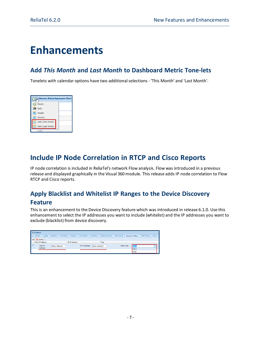## **Enhancements**

### **Add** *This Month* **and** *Last Month* **to Dashboard Metric Tone-lets**

Tonelets with calendar options have two additionalselections - 'This Month' and 'Last Month'.

| $\overline{\text{o}}$ | Memory Status Aggregate Chart |  |  |  |  |  |  |  |  |
|-----------------------|-------------------------------|--|--|--|--|--|--|--|--|
| ◆                     | Hourly                        |  |  |  |  |  |  |  |  |
|                       | 28 Daily                      |  |  |  |  |  |  |  |  |
| ▦                     | Weekly                        |  |  |  |  |  |  |  |  |
| 疅                     | Monthly                       |  |  |  |  |  |  |  |  |
| 匣                     | Daily (This Month)            |  |  |  |  |  |  |  |  |
|                       | Daily (Last Month)            |  |  |  |  |  |  |  |  |
|                       | 0.2B                          |  |  |  |  |  |  |  |  |

### **Include IP Node Correlation in RTCP and Cisco Reports**

IP node correlation is included in ReliaTel's network Flow analysis. Flow was introduced in a previous release and displayed graphically in the Visual 360 module. This release adds IP node correlation to Flow RTCP and Cisco reports.

### **Apply Blacklist and Whitelist IP Ranges to the Device Discovery Feature**

This is an enhancement to the Device Discovery feature which was introduced in release 6.1.0. Use this enhancement to select the IP addresses you want to include (whitelist) and the IP addresses you want to exclude (blacklist) from device discovery.

|     | <b>EL localhost</b> |                                  |                      |                                |            |                  |                     |                          |       |                     |         |  |
|-----|---------------------|----------------------------------|----------------------|--------------------------------|------------|------------------|---------------------|--------------------------|-------|---------------------|---------|--|
|     | Logging<br>General  | Attributes<br><b>MA Patterns</b> | <b>Monitors</b>      | <b>Scan Patterns</b>           | AccessPlus | Dashboard Alarms | <b>DAP Services</b> | <b>Discovery Filters</b> |       | <b>SNMP Metrics</b> | Actions |  |
| Add | <b>Delete</b>       |                                  |                      |                                |            |                  |                     |                          |       |                     |         |  |
|     | From IP Address     |                                  | <b>To IP Address</b> |                                |            | <b>Type</b>      |                     |                          |       |                     |         |  |
| ∎⊟  | From IP             | [Enter Address]                  |                      | To IP Address: [Enter Address] |            |                  | Filter Type:        |                          | AllOW |                     | v       |  |
|     | Address:            |                                  |                      |                                |            |                  |                     |                          | Allow |                     |         |  |
|     |                     |                                  |                      |                                |            |                  |                     |                          | Denv  |                     |         |  |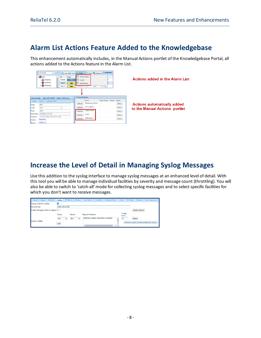## **Alarm List Actions Feature Added to the Knowledgebase**

This enhancement automatically includes, in the Manual Actions portlet of the Knowledgebase Portal, all actions added to the Actions feature in the Alarm List.

|                                                                                          | $ \frac{1}{\sqrt{2}}$<br><b>All Entities</b><br>- <b>M</b> View<br><b>OONetflow</b><br>0Domain1<br>$\triangleq$ 0Domain2                                | ID.<br>795098<br>795097<br>794175 | Level<br><b>FYI</b><br><b>MIN</b><br><b>MIN</b> | <b>B</b> Ticket System<br>m.<br>E-mail<br>下区<br><b>Notifications</b><br>MADIANA L. 19, 19 | ACK C CLR <b>B</b> Action - B Edit <b>B</b> Select All 1 selected<br><b>IVED</b>   | COUNT BLA                 |                            |                                | <b>Actions added in the Alarm List</b>                              |
|------------------------------------------------------------------------------------------|---------------------------------------------------------------------------------------------------------------------------------------------------------|-----------------------------------|-------------------------------------------------|-------------------------------------------------------------------------------------------|------------------------------------------------------------------------------------|---------------------------|----------------------------|--------------------------------|---------------------------------------------------------------------|
| <b>Alarm Details</b><br>Details<br>State:<br>Levelt<br>Type:<br>Start Date:<br>Duration: | <b>Alarm ID: 795097</b><br><b>Notification Status</b><br>Source<br><b>NEW</b><br>Minor<br>alarm<br>6/30/2021 9:37:04<br>19 days 5 hours 58 mins 52 secs | $\tilde{\phantom{a}}$             | <b>R</b><br>Entity: CUCM 9 1                    | <b>Manual Actions</b><br>Activate<br>Activate.<br>Activate<br>Activate                    | Action<br>Traceroute to Entity<br>Ping to Entity<br><b>Ticket System</b><br>E-mail | Last Change Status Result | $\sim$<br>$\sim$<br>$\sim$ | Show<br>Show<br>Show.<br>Show. | <b>Actions automatically added</b><br>to the Manual Actions portlet |
| Center:<br><b>Entity:</b>                                                                | 0Domain2<br>CUCM 9 1                                                                                                                                    |                                   |                                                 | Activate.                                                                                 | Notifications                                                                      | $\sim$                    | $\sim$                     | Show                           |                                                                     |

### **Increase the Level of Detail in Managing Syslog Messages**

Use this addition to the syslog interface to manage syslog messages at an enhanced level of detail. With this tool you will be able to manage individual facilities by severity and message count (throttling). You will also be able to switch to 'catch-all' mode for collecting syslog messages and to select specific facilities for which you don't want to receive messages.

| Attributes<br>Logging<br>General        | Syslog<br><b>MA Patterns</b> | Monitors             | <b>AccessPlus</b><br>Dashboard Alarms<br><b>Scan Patterns</b> | Actions           | <b>MA Tables</b><br>Schedules<br>Alarm Suppression |
|-----------------------------------------|------------------------------|----------------------|---------------------------------------------------------------|-------------------|----------------------------------------------------|
| Syslog Collection Enabled:              | ✓                            |                      |                                                               |                   |                                                    |
| Account/Host:                           | [Enter device IP]            |                      |                                                               |                   |                                                    |
| Enable Debugging Catch-all logging: [3] |                              |                      |                                                               |                   | Disable Catch-all                                  |
|                                         | Facility                     | Severity             | <b>Regular Expression</b>                                     | Throttle<br>Value |                                                    |
|                                         | auth<br>$\checkmark$         | $\ddotmark$<br>alert | [Entering a regular expression is optional]                   | 30<br>٠           | Delete.                                            |
| Syslog Throttles:                       | Add                          |                      |                                                               |                   | Maximum number of syslog messages per minute       |
|                                         |                              |                      |                                                               | ٠                 |                                                    |